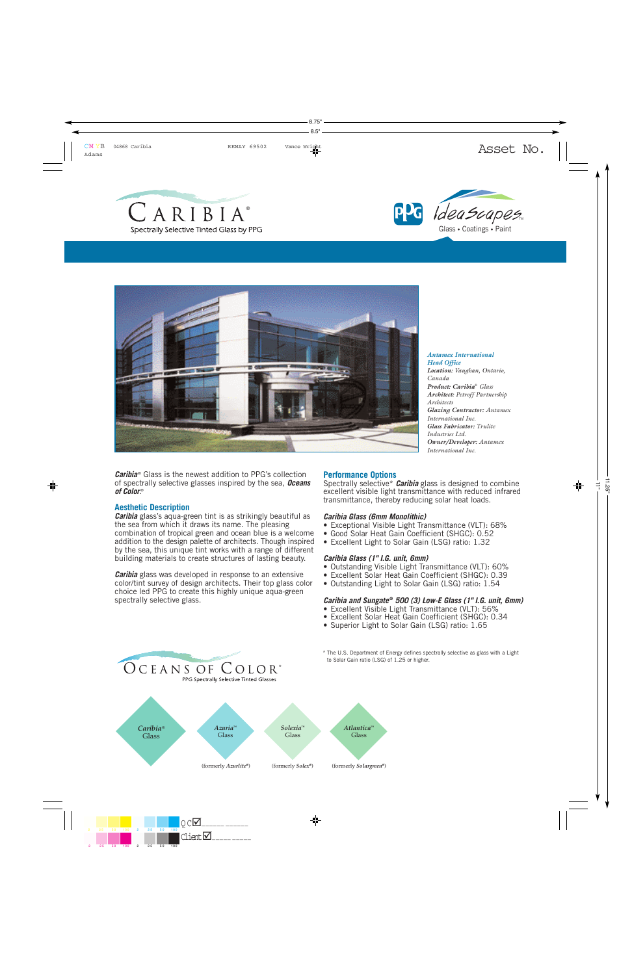





*Caribia* © Glass is the newest addition to PPG's collection of spectrally selective glasses inspired by the sea, *Oceans* of Color.®

### **Aesthetic Description**

*Caribia* glass's aqua-green tint is as strikingly beautiful as the sea from which it draws its name. The pleasing combination of tropical green and ocean blue is a welcome addition to the design palette of architects. Though inspired by the sea, this unique tint works with a range of different building materials to create structures of lasting beauty.

*Caribia* glass was developed in response to an extensive color/tint survey of design architects. Their top glass color choice led PPG to create this highly unique aqua-green spectrally selective glass.

OCEANS OF COLOR®

### **Performance Options**

Spectrally selective\* *Caribia* glass is designed to combine excellent visible light transmittance with reduced infrared transmittance, thereby reducing solar heat loads.

### *Caribia Glass (6mm Monolithic)*

- Exceptional Visible Light Transmittance (VLT): 68%
- Good Solar Heat Gain Coefficient (SHGC): 0.52
- Excellent Light to Solar Gain (LSG) ratio: 1.32

### *Caribia Glass (1" I.G. unit, 6mm)*

- Outstanding Visible Light Transmittance (VLT): 60%
- Excellent Solar Heat Gain Coefficient (SHGC): 0.39
- Outstanding Light to Solar Gain (LSG) ratio: 1.54

# *Caribia and Sungate* **®** *500 (3) Low-E Glass (1" I.G. unit, 6mm)*

- Excellent Visible Light Transmittance (VLT): 56%
- Excellent Solar Heat Gain Coefficient (SHGC): 0.34
- Superior Light to Solar Gain (LSG) ratio: 1.65
- \* The U.S. Department of Energy defines spectrally selective as glass with a Light to Solar Gain ratio (LSG) of 1.25 or higher.